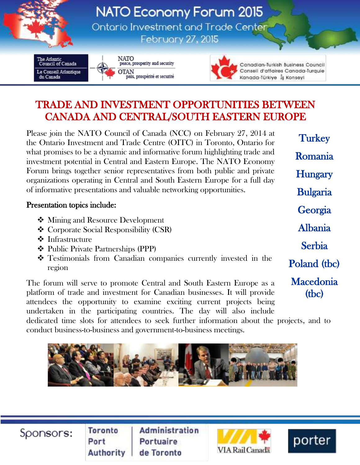

## TRADE AND INVESTMENT OPPORTUNITIES BETWEEN CANADA AND CENTRAL/SOUTH EASTERN EUROPE

Please join the NATO Council of Canada (NCC) on February 27, 2014 at the Ontario Investment and Trade Centre (OITC) in Toronto, Ontario for what promises to be a dynamic and informative forum highlighting trade and investment potential in Central and Eastern Europe. The NATO Economy Forum brings together senior representatives from both public and private organizations operating in Central and South Eastern Europe for a full day of informative presentations and valuable networking opportunities.

## Presentation topics include:

- ❖ Mining and Resource Development
- Corporate Social Responsibility (CSR)
- **❖** Infrastructure
- Public Private Partnerships (PPP)
- Testimonials from Canadian companies currently invested in the region

The forum will serve to promote Central and South Eastern Europe as a platform of trade and investment for Canadian businesses. It will provide attendees the opportunity to examine exciting current projects being undertaken in the participating countries. The day will also include

**Georgia** Albania Serbia Poland (tbc) **Macedonia** 

(tbc)

**Turkey** 

Romania

**Hungary** 

Bulgaria

dedicated time slots for attendees to seek further information about the projects, and to conduct business-to-business and government-to-business meetings.



Sponsors:

**Toronto** Port **Authority** 

**Administration** Portuaire de Toronto



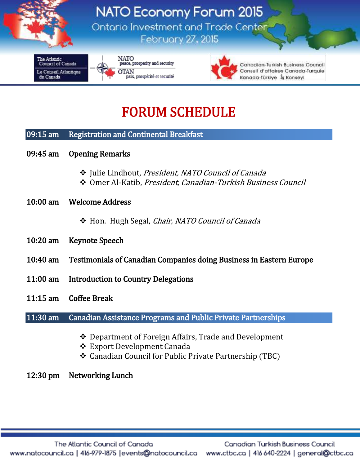

# FORUM SCHEDULE

#### 09:15 am Registration and Continental Breakfast

09:45 am Opening Remarks

Ī

- ❖ Julie Lindhout, President, NATO Council of Canada
- Omer Al-Katib, President, Canadian-Turkish Business Council
- 10:00 am Welcome Address
	- Hon. Hugh Segal, Chair, NATO Council of Canada
- 10:20 am Keynote Speech
- 10:40 am Testimonials of Canadian Companies doing Business in Eastern Europe
- 11:00 am Introduction to Country Delegations
- 11:15 am Coffee Break

11:30 am Canadian Assistance Programs and Public Private Partnerships

- Department of Foreign Affairs, Trade and Development
- **❖** Export Development Canada
- Canadian Council for Public Private Partnership (TBC)

#### 12:30 pm Networking Lunch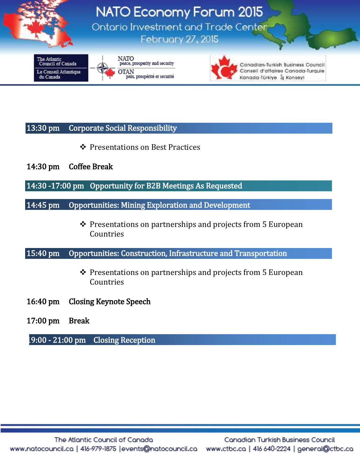

### 13:30 pm Corporate Social Responsibility

- Presentations on Best Practices
- 14:30 pm Coffee Break
- 14:30 -17:00 pm Opportunity for B2B Meetings As Requested
- 14:45 pm Opportunities: Mining Exploration and Development
	- $\triangle$  Presentations on partnerships and projects from 5 European Countries
- 15:40 pm Opportunities: Construction, Infrastructure and Transportation
	- ❖ Presentations on partnerships and projects from 5 European Countries
- 16:40 pm Closing Keynote Speech
- 17:00 pm Break
- 19:00 21:00 pm Closing Reception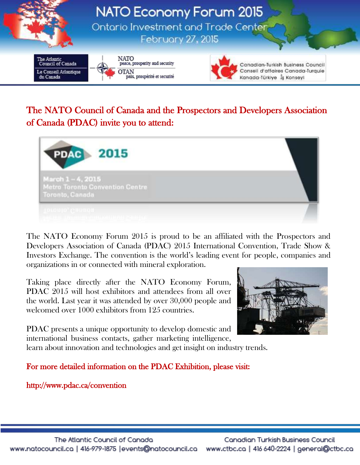

## The NATO Council of Canada and the Prospectors and Developers Association of Canada (PDAC) invite you to attend:



The NATO Economy Forum 2015 is proud to be an affiliated with the Prospectors and Developers Association of Canada (PDAC) 2015 International Convention, Trade Show & Investors Exchange. The convention is the world's leading event for people, companies and organizations in or connected with mineral exploration.

Taking place directly after the NATO Economy Forum, PDAC 2015 will host exhibitors and attendees from all over the world. Last year it was attended by over 30,000 people and welcomed over 1000 exhibitors from 125 countries.

PDAC presents a unique opportunity to develop domestic and international business contacts, gather marketing intelligence,



learn about innovation and technologies and get insight on industry trends.

For more detailed information on the PDAC Exhibition, please visit:

http://www.pdac.ca/convention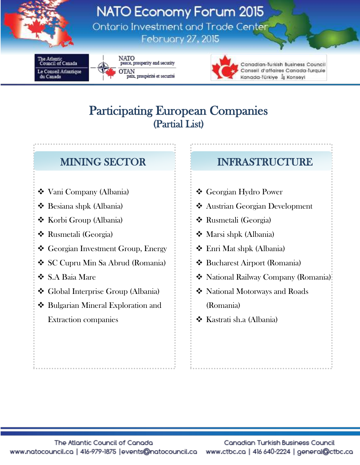

**NATO Economy Forum 2015** Ontario Investment and Trade Center **February 27, 2015** 

ie Atlanti Council of Canada Le Conseil Atlantique du Canada



NATO peace, prosperity and security **OTAN** paix, prospérité et securité



Canadian-Turkish Business Council Conseil d'affaires Canada-Turquie Kanada-Türkiye İş Konseyi

# Participating European Companies (Partial List)

- Vani Company (Albania)
- Besiana shpk (Albania)
- ❖ Korbi Group (Albania)
- Rusmetali (Georgia)
- Georgian Investment Group, Energy
- SC Cupru Min Sa Abrud (Romania)
- S.A Baia Mare
- Global Interprise Group (Albania)
- ◆ Bulgarian Mineral Exploration and Extraction companies

## MINING SECTOR INFRASTRUCTURE

- Georgian Hydro Power
- Austrian Georgian Development
- Rusmetali (Georgia)
- Marsi shpk (Albania)
- Enri Mat shpk (Albania)
- Bucharest Airport (Romania)
- National Railway Company (Romania)
- National Motorways and Roads (Romania)
- ❖ Kastrati sh.a (Albania)